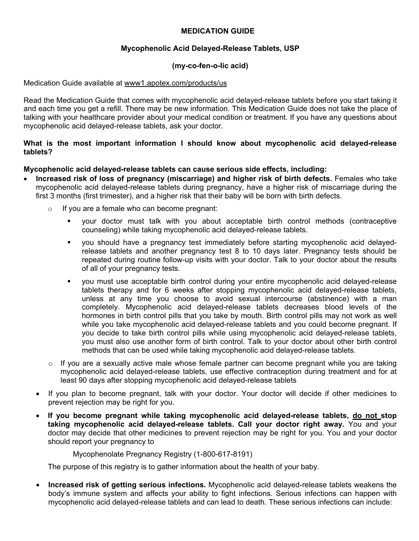# **MEDICATION GUIDE**

# **Mycophenolic Acid Delayed-Release Tablets, USP**

## **(my-co-fen-o-lic acid)**

Medication Guide available at www1.apotex.com/products/us

Read the Medication Guide that comes with mycophenolic acid delayed-release tablets before you start taking it and each time you get a refill. There may be new information. This Medication Guide does not take the place of talking with your healthcare provider about your medical condition or treatment. If you have any questions about mycophenolic acid delayed-release tablets, ask your doctor.

## **What is the most important information I should know about mycophenolic acid delayed-release tablets?**

## **Mycophenolic acid delayed-release tablets can cause serious side effects, including:**

- **Increased risk of loss of pregnancy (miscarriage) and higher risk of birth defects.** Females who take mycophenolic acid delayed-release tablets during pregnancy, have a higher risk of miscarriage during the first 3 months (first trimester), and a higher risk that their baby will be born with birth defects.
	- $\circ$  If you are a female who can become pregnant:
		- your doctor must talk with you about acceptable birth control methods (contraceptive counseling) while taking mycophenolic acid delayed-release tablets.
		- you should have a pregnancy test immediately before starting mycophenolic acid delayedrelease tablets and another pregnancy test 8 to 10 days later. Pregnancy tests should be repeated during routine follow-up visits with your doctor. Talk to your doctor about the results of all of your pregnancy tests.
		- you must use acceptable birth control during your entire mycophenolic acid delayed-release tablets therapy and for 6 weeks after stopping mycophenolic acid delayed-release tablets, unless at any time you choose to avoid sexual intercourse (abstinence) with a man completely. Mycophenolic acid delayed-release tablets decreases blood levels of the hormones in birth control pills that you take by mouth. Birth control pills may not work as well while you take mycophenolic acid delayed-release tablets and you could become pregnant. If you decide to take birth control pills while using mycophenolic acid delayed-release tablets, you must also use another form of birth control. Talk to your doctor about other birth control methods that can be used while taking mycophenolic acid delayed-release tablets.
	- $\circ$  If you are a sexually active male whose female partner can become pregnant while you are taking mycophenolic acid delayed-release tablets, use effective contraception during treatment and for at least 90 days after stopping mycophenolic acid delayed-release tablets
	- If you plan to become pregnant, talk with your doctor. Your doctor will decide if other medicines to prevent rejection may be right for you.
	- **If you become pregnant while taking mycophenolic acid delayed-release tablets, do not stop taking mycophenolic acid delayed-release tablets. Call your doctor right away.** You and your doctor may decide that other medicines to prevent rejection may be right for you. You and your doctor should report your pregnancy to

Mycophenolate Pregnancy Registry (1-800-617-8191)

The purpose of this registry is to gather information about the health of your baby.

• **Increased risk of getting serious infections.** Mycophenolic acid delayed-release tablets weakens the body's immune system and affects your ability to fight infections. Serious infections can happen with mycophenolic acid delayed-release tablets and can lead to death. These serious infections can include: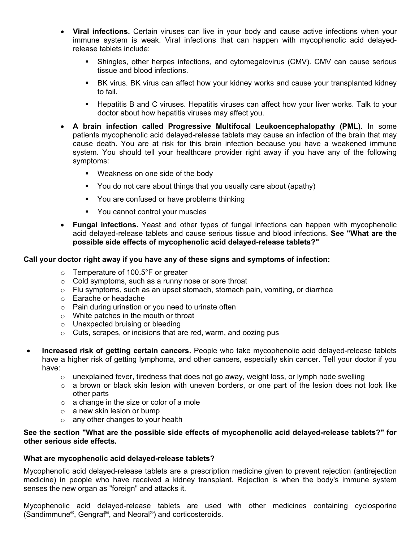- **Viral infections.** Certain viruses can live in your body and cause active infections when your immune system is weak. Viral infections that can happen with mycophenolic acid delayedrelease tablets include:
	- Shingles, other herpes infections, and cytomegalovirus (CMV). CMV can cause serious tissue and blood infections.
	- BK virus. BK virus can affect how your kidney works and cause your transplanted kidney to fail.
	- Hepatitis B and C viruses. Hepatitis viruses can affect how your liver works. Talk to your doctor about how hepatitis viruses may affect you.
- **A brain infection called Progressive Multifocal Leukoencephalopathy (PML).** In some patients mycophenolic acid delayed-release tablets may cause an infection of the brain that may cause death. You are at risk for this brain infection because you have a weakened immune system. You should tell your healthcare provider right away if you have any of the following symptoms:
	- **Weakness on one side of the body**
	- You do not care about things that you usually care about (apathy)
	- You are confused or have problems thinking
	- **•** You cannot control your muscles
- **Fungal infections.** Yeast and other types of fungal infections can happen with mycophenolic acid delayed-release tablets and cause serious tissue and blood infections. **See "What are the possible side effects of mycophenolic acid delayed-release tablets?"**

## **Call your doctor right away if you have any of these signs and symptoms of infection:**

- o Temperature of 100.5°F or greater
- o Cold symptoms, such as a runny nose or sore throat
- o Flu symptoms, such as an upset stomach, stomach pain, vomiting, or diarrhea
- o Earache or headache
- $\circ$  Pain during urination or you need to urinate often
- o White patches in the mouth or throat
- o Unexpected bruising or bleeding
- o Cuts, scrapes, or incisions that are red, warm, and oozing pus
- **Increased risk of getting certain cancers.** People who take mycophenolic acid delayed-release tablets have a higher risk of getting lymphoma, and other cancers, especially skin cancer. Tell your doctor if you have:
	- $\circ$  unexplained fever, tiredness that does not go away, weight loss, or lymph node swelling
	- $\circ$  a brown or black skin lesion with uneven borders, or one part of the lesion does not look like other parts
	- o a change in the size or color of a mole
	- $\circ$  a new skin lesion or bump
	- $\circ$  any other changes to your health

## **See the section "What are the possible side effects of mycophenolic acid delayed-release tablets?" for other serious side effects.**

#### **What are mycophenolic acid delayed-release tablets?**

Mycophenolic acid delayed-release tablets are a prescription medicine given to prevent rejection (antirejection medicine) in people who have received a kidney transplant. Rejection is when the body's immune system senses the new organ as "foreign" and attacks it.

Mycophenolic acid delayed-release tablets are used with other medicines containing cyclosporine (Sandimmune®, Gengraf®, and Neoral®) and corticosteroids.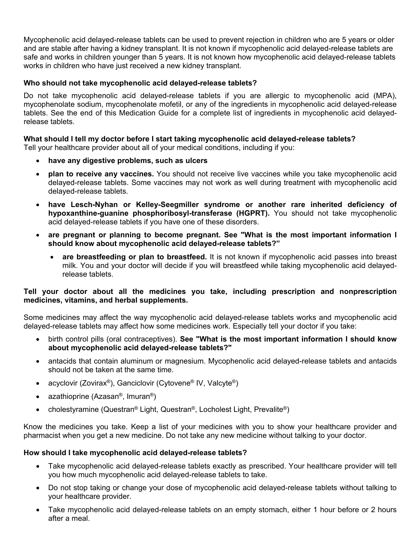Mycophenolic acid delayed-release tablets can be used to prevent rejection in children who are 5 years or older and are stable after having a kidney transplant. It is not known if mycophenolic acid delayed-release tablets are safe and works in children younger than 5 years. It is not known how mycophenolic acid delayed-release tablets works in children who have just received a new kidney transplant.

# **Who should not take mycophenolic acid delayed-release tablets?**

Do not take mycophenolic acid delayed-release tablets if you are allergic to mycophenolic acid (MPA), mycophenolate sodium, mycophenolate mofetil, or any of the ingredients in mycophenolic acid delayed-release tablets. See the end of this Medication Guide for a complete list of ingredients in mycophenolic acid delayedrelease tablets.

## **What should I tell my doctor before I start taking mycophenolic acid delayed-release tablets?**

Tell your healthcare provider about all of your medical conditions, including if you:

- **have any digestive problems, such as ulcers**
- **plan to receive any vaccines.** You should not receive live vaccines while you take mycophenolic acid delayed-release tablets. Some vaccines may not work as well during treatment with mycophenolic acid delayed-release tablets.
- **have Lesch-Nyhan or Kelley-Seegmiller syndrome or another rare inherited deficiency of hypoxanthine-guanine phosphoribosyl-transferase (HGPRT).** You should not take mycophenolic acid delayed-release tablets if you have one of these disorders.
- **are pregnant or planning to become pregnant. See "What is the most important information I should know about mycophenolic acid delayed-release tablets?"**
	- **are breastfeeding or plan to breastfeed.** It is not known if mycophenolic acid passes into breast milk. You and your doctor will decide if you will breastfeed while taking mycophenolic acid delayedrelease tablets.

## **Tell your doctor about all the medicines you take, including prescription and nonprescription medicines, vitamins, and herbal supplements.**

Some medicines may affect the way mycophenolic acid delayed-release tablets works and mycophenolic acid delayed-release tablets may affect how some medicines work. Especially tell your doctor if you take:

- birth control pills (oral contraceptives). **See "What is the most important information I should know about mycophenolic acid delayed-release tablets?"**
- antacids that contain aluminum or magnesium. Mycophenolic acid delayed-release tablets and antacids should not be taken at the same time.
- acyclovir (Zovirax®), Ganciclovir (Cytovene® IV, Valcyte®)
- azathioprine (Azasan®, Imuran®)
- cholestyramine (Questran® Light, Questran®, Locholest Light, Prevalite®)

Know the medicines you take. Keep a list of your medicines with you to show your healthcare provider and pharmacist when you get a new medicine. Do not take any new medicine without talking to your doctor.

## **How should I take mycophenolic acid delayed-release tablets?**

- Take mycophenolic acid delayed-release tablets exactly as prescribed. Your healthcare provider will tell you how much mycophenolic acid delayed-release tablets to take.
- Do not stop taking or change your dose of mycophenolic acid delayed-release tablets without talking to your healthcare provider.
- Take mycophenolic acid delayed-release tablets on an empty stomach, either 1 hour before or 2 hours after a meal.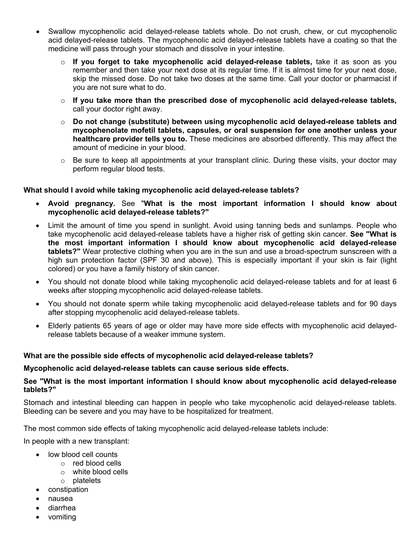- Swallow mycophenolic acid delayed-release tablets whole. Do not crush, chew, or cut mycophenolic acid delayed-release tablets. The mycophenolic acid delayed-release tablets have a coating so that the medicine will pass through your stomach and dissolve in your intestine.
	- o **If you forget to take mycophenolic acid delayed-release tablets,** take it as soon as you remember and then take your next dose at its regular time. If it is almost time for your next dose, skip the missed dose. Do not take two doses at the same time. Call your doctor or pharmacist if you are not sure what to do.
	- o **If you take more than the prescribed dose of mycophenolic acid delayed-release tablets,**  call your doctor right away.
	- o **Do not change (substitute) between using mycophenolic acid delayed-release tablets and mycophenolate mofetil tablets, capsules, or oral suspension for one another unless your healthcare provider tells you to.** These medicines are absorbed differently. This may affect the amount of medicine in your blood.
	- $\circ$  Be sure to keep all appointments at your transplant clinic. During these visits, your doctor may perform regular blood tests.

## **What should I avoid while taking mycophenolic acid delayed-release tablets?**

- **Avoid pregnancy.** See "**What is the most important information I should know about mycophenolic acid delayed-release tablets?"**
- Limit the amount of time you spend in sunlight. Avoid using tanning beds and sunlamps. People who take mycophenolic acid delayed-release tablets have a higher risk of getting skin cancer. **See "What is the most important information I should know about mycophenolic acid delayed-release tablets?"** Wear protective clothing when you are in the sun and use a broad-spectrum sunscreen with a high sun protection factor (SPF 30 and above). This is especially important if your skin is fair (light colored) or you have a family history of skin cancer.
- You should not donate blood while taking mycophenolic acid delayed-release tablets and for at least 6 weeks after stopping mycophenolic acid delayed-release tablets.
- You should not donate sperm while taking mycophenolic acid delayed-release tablets and for 90 days after stopping mycophenolic acid delayed-release tablets.
- Elderly patients 65 years of age or older may have more side effects with mycophenolic acid delayedrelease tablets because of a weaker immune system.

## **What are the possible side effects of mycophenolic acid delayed-release tablets?**

#### **Mycophenolic acid delayed-release tablets can cause serious side effects.**

## **See "What is the most important information I should know about mycophenolic acid delayed-release tablets?"**

Stomach and intestinal bleeding can happen in people who take mycophenolic acid delayed-release tablets. Bleeding can be severe and you may have to be hospitalized for treatment.

The most common side effects of taking mycophenolic acid delayed-release tablets include:

In people with a new transplant:

- low blood cell counts
	- o red blood cells
	- o white blood cells
	- o platelets
- constipation
- nausea
- diarrhea
- vomiting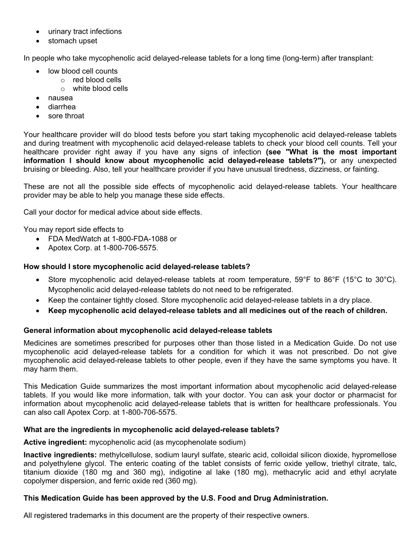- urinary tract infections
- stomach upset

In people who take mycophenolic acid delayed-release tablets for a long time (long-term) after transplant:

- low blood cell counts
	- o red blood cells
	- o white blood cells
- nausea
- diarrhea
- sore throat

Your healthcare provider will do blood tests before you start taking mycophenolic acid delayed-release tablets and during treatment with mycophenolic acid delayed-release tablets to check your blood cell counts. Tell your healthcare provider right away if you have any signs of infection **(see "What is the most important information I should know about mycophenolic acid delayed-release tablets?"),** or any unexpected bruising or bleeding. Also, tell your healthcare provider if you have unusual tiredness, dizziness, or fainting.

These are not all the possible side effects of mycophenolic acid delayed-release tablets. Your healthcare provider may be able to help you manage these side effects.

Call your doctor for medical advice about side effects.

You may report side effects to

- FDA MedWatch at 1-800-FDA-1088 or
- Apotex Corp. at 1-800-706-5575.

# **How should I store mycophenolic acid delayed-release tablets?**

- Store mycophenolic acid delayed-release tablets at room temperature, 59°F to 86°F (15°C to 30°C). Mycophenolic acid delayed-release tablets do not need to be refrigerated.
- Keep the container tightly closed. Store mycophenolic acid delayed-release tablets in a dry place.
- **Keep mycophenolic acid delayed-release tablets and all medicines out of the reach of children.**

## **General information about mycophenolic acid delayed-release tablets**

Medicines are sometimes prescribed for purposes other than those listed in a Medication Guide. Do not use mycophenolic acid delayed-release tablets for a condition for which it was not prescribed. Do not give mycophenolic acid delayed-release tablets to other people, even if they have the same symptoms you have. It may harm them.

This Medication Guide summarizes the most important information about mycophenolic acid delayed-release tablets. If you would like more information, talk with your doctor. You can ask your doctor or pharmacist for information about mycophenolic acid delayed-release tablets that is written for healthcare professionals. You can also call Apotex Corp. at 1-800-706-5575.

## **What are the ingredients in mycophenolic acid delayed-release tablets?**

**Active ingredient:** mycophenolic acid (as mycophenolate sodium)

**Inactive ingredients:** methylcellulose, sodium lauryl sulfate, stearic acid, colloidal silicon dioxide, hypromellose and polyethylene glycol. The enteric coating of the tablet consists of ferric oxide yellow, triethyl citrate, talc, titanium dioxide (180 mg and 360 mg), indigotine al lake (180 mg), methacrylic acid and ethyl acrylate copolymer dispersion, and ferric oxide red (360 mg).

## **This Medication Guide has been approved by the U.S. Food and Drug Administration.**

All registered trademarks in this document are the property of their respective owners.